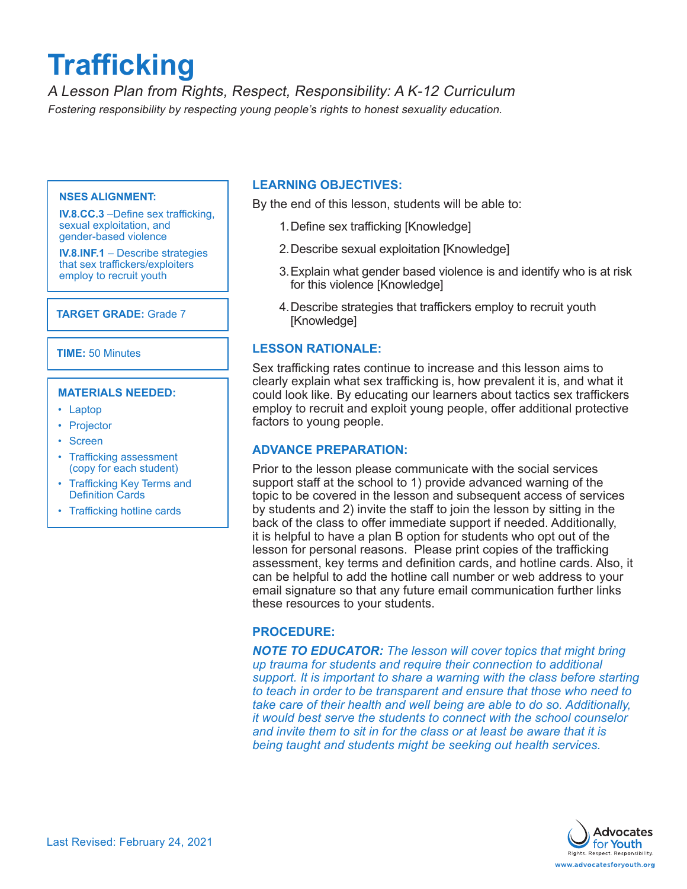# **Trafficking**

A Lesson Plan from Rights, Respect, Responsibility: A K-12 Curriculum Fostering responsibility by respecting young people's rights to honest sexuality education.

#### **NSES ALIGNMENT:**

**IV.8.CC.3** –Define sex trafficking, sexual exploitation, and gender-based violence

**IV.8.INF.1** – Describe strategies that sex traffickers/exploiters employ to recruit youth

# **TARGET GRADE:** Grade 7

**TIME:** 50 Minutes

#### **MATERIALS NEEDED:**

- Laptop
- Projector
- Screen
- Trafficking assessment (copy for each student)
- Trafficking Key Terms and Definition Cards
- Trafficking hotline cards

# **LEARNING OBJECTIVES:**

By the end of this lesson, students will be able to:

- 1.Define sex trafficking [Knowledge]
- 2.Describe sexual exploitation [Knowledge]
- 3.Explain what gender based violence is and identify who is at risk for this violence [Knowledge]
- 4.Describe strategies that traffickers employ to recruit youth [Knowledge]

# **LESSON RATIONALE:**

Sex trafficking rates continue to increase and this lesson aims to clearly explain what sex trafficking is, how prevalent it is, and what it could look like. By educating our learners about tactics sex traffickers employ to recruit and exploit young people, offer additional protective factors to young people.

# **ADVANCE PREPARATION:**

Prior to the lesson please communicate with the social services support staff at the school to 1) provide advanced warning of the topic to be covered in the lesson and subsequent access of services by students and 2) invite the staff to join the lesson by sitting in the back of the class to offer immediate support if needed. Additionally, it is helpful to have a plan B option for students who opt out of the lesson for personal reasons. Please print copies of the trafficking assessment, key terms and definition cards, and hotline cards. Also, it can be helpful to add the hotline call number or web address to your email signature so that any future email communication further links these resources to your students.

# **PROCEDURE:**

*NOTE TO EDUCATOR: The lesson will cover topics that might bring up trauma for students and require their connection to additional support. It is important to share a warning with the class before starting to teach in order to be transparent and ensure that those who need to take care of their health and well being are able to do so. Additionally, it would best serve the students to connect with the school counselor and invite them to sit in for the class or at least be aware that it is being taught and students might be seeking out health services.* 

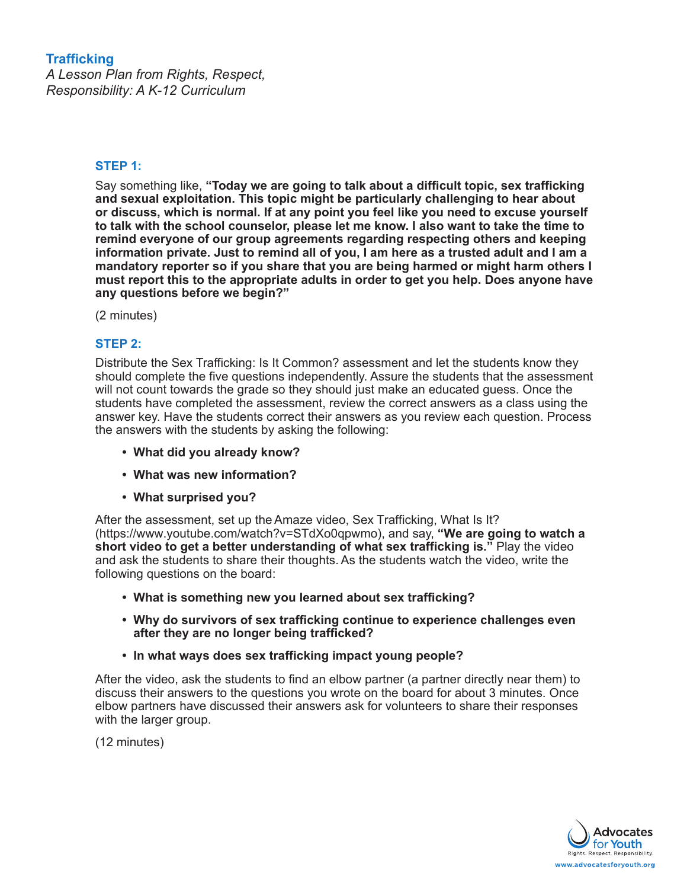# **Trafficking**

*A Lesson Plan from Rights, Respect, Responsibility: A K-12 Curriculum*

# **STEP 1:**

Say something like, **"Today we are going to talk about a difficult topic, sex trafficking and sexual exploitation. This topic might be particularly challenging to hear about or discuss, which is normal. If at any point you feel like you need to excuse yourself to talk with the school counselor, please let me know. I also want to take the time to remind everyone of our group agreements regarding respecting others and keeping information private. Just to remind all of you, I am here as a trusted adult and I am a mandatory reporter so if you share that you are being harmed or might harm others I must report this to the appropriate adults in order to get you help. Does anyone have any questions before we begin?"** 

(2 minutes)

# **STEP 2:**

Distribute the Sex Trafficking: Is It Common? assessment and let the students know they should complete the five questions independently. Assure the students that the assessment will not count towards the grade so they should just make an educated guess. Once the students have completed the assessment, review the correct answers as a class using the answer key. Have the students correct their answers as you review each question. Process the answers with the students by asking the following:

- **• What did you already know?**
- **• What was new information?**
- **• What surprised you?**

After the assessment, set up the Amaze video, Sex Trafficking, What Is It? (https://www.youtube.com/watch?v=STdXo0qpwmo), and say, **"We are going to watch a short video to get a better understanding of what sex trafficking is."** Play the video and ask the students to share their thoughts. As the students watch the video, write the following questions on the board:

- **• What is something new you learned about sex trafficking?**
- **• Why do survivors of sex trafficking continue to experience challenges even after they are no longer being trafficked?**
- **• In what ways does sex trafficking impact young people?**

After the video, ask the students to find an elbow partner (a partner directly near them) to discuss their answers to the questions you wrote on the board for about 3 minutes. Once elbow partners have discussed their answers ask for volunteers to share their responses with the larger group.

(12 minutes)

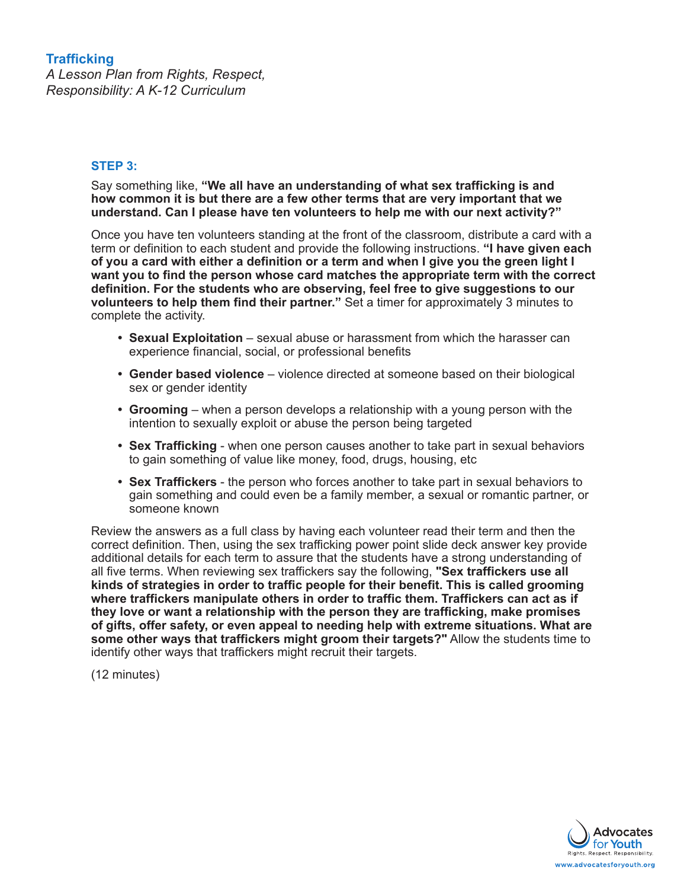# **Trafficking** *A Lesson Plan from Rights, Respect, Responsibility: A K-12 Curriculum*

# **STEP 3:**

Say something like, **"We all have an understanding of what sex trafficking is and how common it is but there are a few other terms that are very important that we understand. Can I please have ten volunteers to help me with our next activity?"** 

Once you have ten volunteers standing at the front of the classroom, distribute a card with a term or definition to each student and provide the following instructions. **"I have given each of you a card with either a definition or a term and when I give you the green light I want you to find the person whose card matches the appropriate term with the correct definition. For the students who are observing, feel free to give suggestions to our volunteers to help them find their partner."** Set a timer for approximately 3 minutes to complete the activity.

- **• Sexual Exploitation** sexual abuse or harassment from which the harasser can experience financial, social, or professional benefits
- **• Gender based violence** violence directed at someone based on their biological sex or gender identity
- **• Grooming** when a person develops a relationship with a young person with the intention to sexually exploit or abuse the person being targeted
- **• Sex Trafficking** when one person causes another to take part in sexual behaviors to gain something of value like money, food, drugs, housing, etc
- **• Sex Traffickers**  the person who forces another to take part in sexual behaviors to gain something and could even be a family member, a sexual or romantic partner, or someone known

Review the answers as a full class by having each volunteer read their term and then the correct definition. Then, using the sex trafficking power point slide deck answer key provide additional details for each term to assure that the students have a strong understanding of all five terms. When reviewing sex traffickers say the following, **"Sex traffickers use all kinds of strategies in order to traffic people for their benefit. This is called grooming where traffickers manipulate others in order to traffic them. Traffickers can act as if they love or want a relationship with the person they are trafficking, make promises of gifts, offer safety, or even appeal to needing help with extreme situations. What are some other ways that traffickers might groom their targets?"** Allow the students time to identify other ways that traffickers might recruit their targets.

(12 minutes)

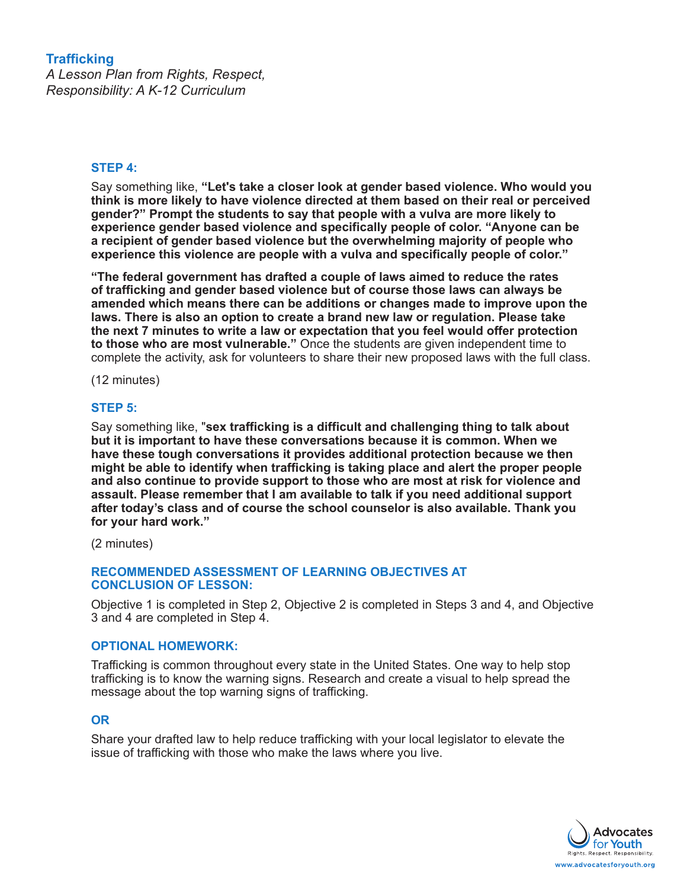# **Trafficking**

*A Lesson Plan from Rights, Respect, Responsibility: A K-12 Curriculum*

# **STEP 4:**

Say something like, **"Let's take a closer look at gender based violence. Who would you think is more likely to have violence directed at them based on their real or perceived gender?" Prompt the students to say that people with a vulva are more likely to experience gender based violence and specifically people of color. "Anyone can be a recipient of gender based violence but the overwhelming majority of people who experience this violence are people with a vulva and specifically people of color."** 

**"The federal government has drafted a couple of laws aimed to reduce the rates of trafficking and gender based violence but of course those laws can always be amended which means there can be additions or changes made to improve upon the laws. There is also an option to create a brand new law or regulation. Please take the next 7 minutes to write a law or expectation that you feel would offer protection to those who are most vulnerable."** Once the students are given independent time to complete the activity, ask for volunteers to share their new proposed laws with the full class.

(12 minutes)

# **STEP 5:**

Say something like, "**sex trafficking is a difficult and challenging thing to talk about but it is important to have these conversations because it is common. When we have these tough conversations it provides additional protection because we then might be able to identify when trafficking is taking place and alert the proper people and also continue to provide support to those who are most at risk for violence and assault. Please remember that I am available to talk if you need additional support after today's class and of course the school counselor is also available. Thank you for your hard work."**

(2 minutes)

### **RECOMMENDED ASSESSMENT OF LEARNING OBJECTIVES AT CONCLUSION OF LESSON:**

Objective 1 is completed in Step 2, Objective 2 is completed in Steps 3 and 4, and Objective 3 and 4 are completed in Step 4.

### **OPTIONAL HOMEWORK:**

Trafficking is common throughout every state in the United States. One way to help stop trafficking is to know the warning signs. Research and create a visual to help spread the message about the top warning signs of trafficking.

# **OR**

Share your drafted law to help reduce trafficking with your local legislator to elevate the issue of trafficking with those who make the laws where you live.

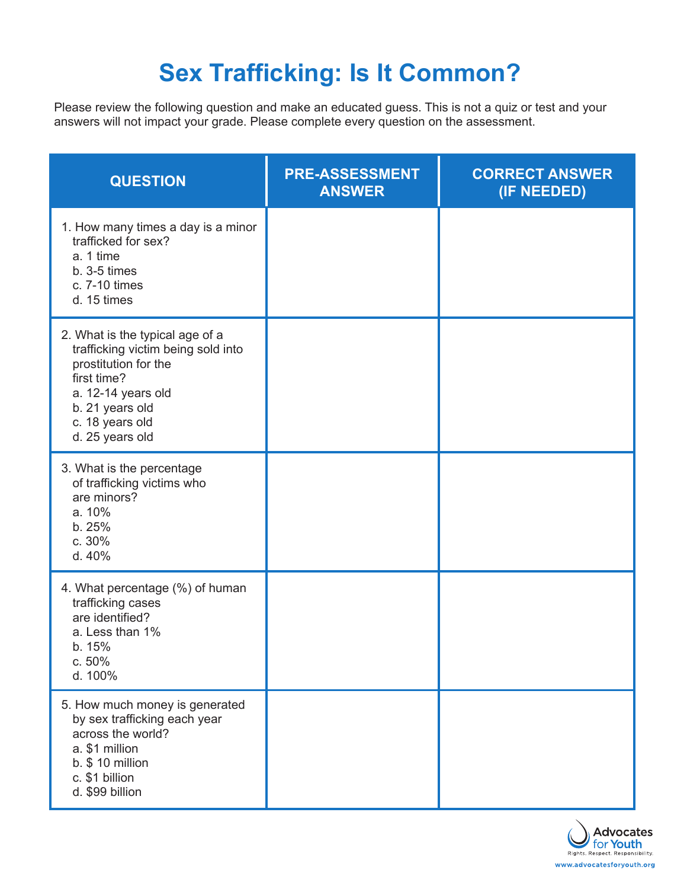# **Sex Trafficking: Is It Common?**

Please review the following question and make an educated guess. This is not a quiz or test and your answers will not impact your grade. Please complete every question on the assessment.

| <b>QUESTION</b>                                                                                                                                                                             | <b>PRE-ASSESSMENT</b><br><b>ANSWER</b> | <b>CORRECT ANSWER</b><br>(IF NEEDED) |
|---------------------------------------------------------------------------------------------------------------------------------------------------------------------------------------------|----------------------------------------|--------------------------------------|
| 1. How many times a day is a minor<br>trafficked for sex?<br>a. 1 time<br>$b. 3-5$ times<br>c. 7-10 times<br>d. 15 times                                                                    |                                        |                                      |
| 2. What is the typical age of a<br>trafficking victim being sold into<br>prostitution for the<br>first time?<br>a. 12-14 years old<br>b. 21 years old<br>c. 18 years old<br>d. 25 years old |                                        |                                      |
| 3. What is the percentage<br>of trafficking victims who<br>are minors?<br>a. 10%<br>b.25%<br>c. 30%<br>d. 40%                                                                               |                                        |                                      |
| 4. What percentage (%) of human<br>trafficking cases<br>are identified?<br>a. Less than 1%<br>b. 15%<br>c.50%<br>d. 100%                                                                    |                                        |                                      |
| 5. How much money is generated<br>by sex trafficking each year<br>across the world?<br>a. \$1 million<br>$b.$ \$ 10 million<br>c. \$1 billion<br>d. \$99 billion                            |                                        |                                      |

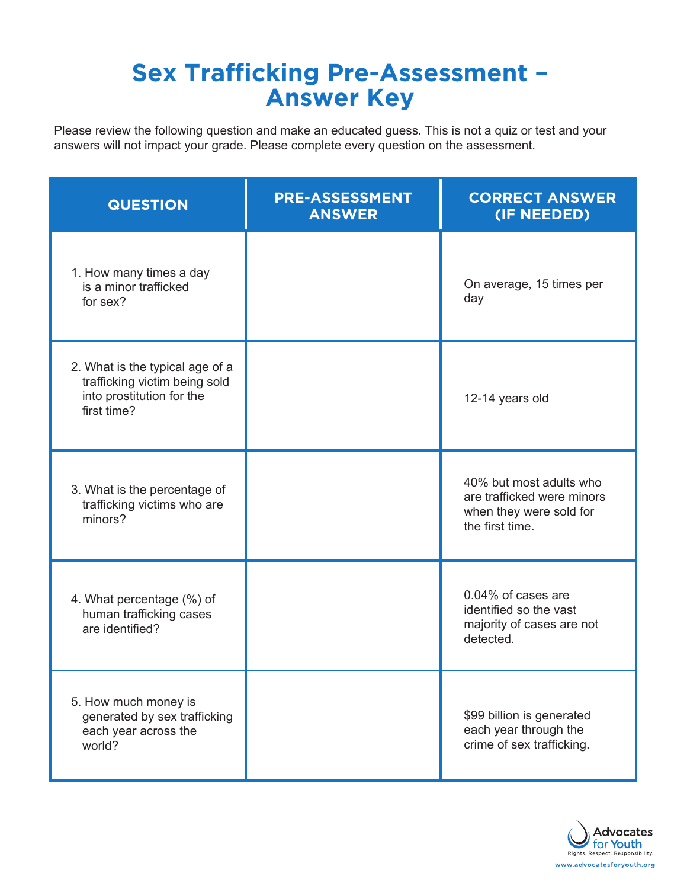# **Sex Trafficking Pre-Assessment – Answer Key**

Please review the following question and make an educated guess. This is not a quiz or test and your answers will not impact your grade. Please complete every question on the assessment.

| <b>QUESTION</b>                                                                                              | <b>PRE-ASSESSMENT</b><br><b>ANSWER</b> | <b>CORRECT ANSWER</b><br>(IF NEEDED)                                                                |
|--------------------------------------------------------------------------------------------------------------|----------------------------------------|-----------------------------------------------------------------------------------------------------|
| 1. How many times a day<br>is a minor trafficked<br>for sex?                                                 |                                        | On average, 15 times per<br>day                                                                     |
| 2. What is the typical age of a<br>trafficking victim being sold<br>into prostitution for the<br>first time? |                                        | 12-14 years old                                                                                     |
| 3. What is the percentage of<br>trafficking victims who are<br>minors?                                       |                                        | 40% but most adults who<br>are trafficked were minors<br>when they were sold for<br>the first time. |
| 4. What percentage (%) of<br>human trafficking cases<br>are identified?                                      |                                        | 0.04% of cases are<br>identified so the vast<br>majority of cases are not<br>detected.              |
| 5. How much money is<br>generated by sex trafficking<br>each year across the<br>world?                       |                                        | \$99 billion is generated<br>each year through the<br>crime of sex trafficking.                     |